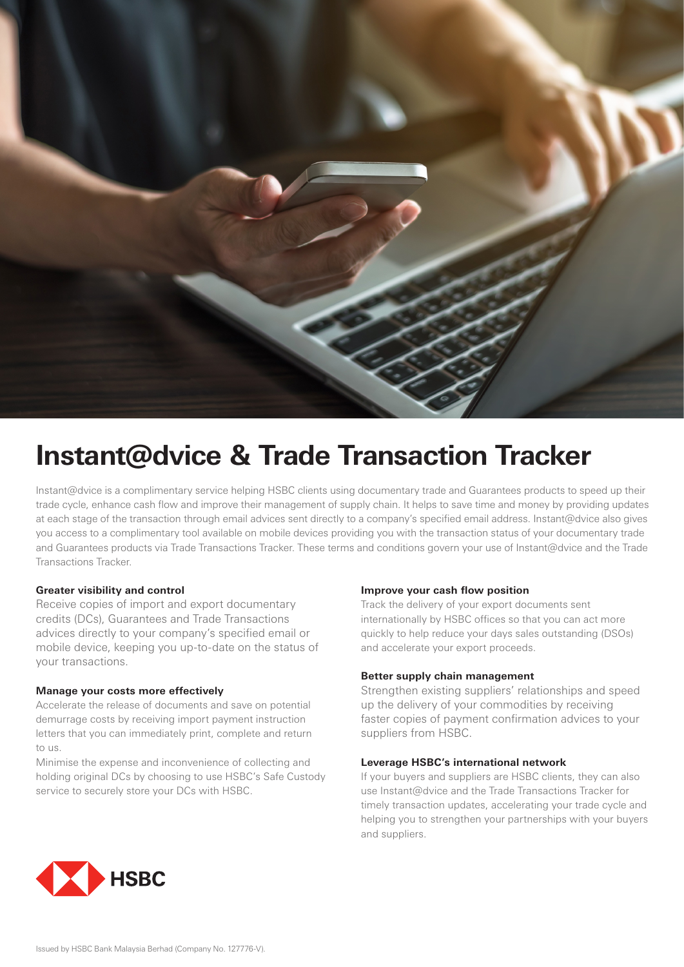

# **Instant@dvice & Trade Transaction Tracker**

Instant@dvice is a complimentary service helping HSBC clients using documentary trade and Guarantees products to speed up their trade cycle, enhance cash flow and improve their management of supply chain. It helps to save time and money by providing updates at each stage of the transaction through email advices sent directly to a company's specified email address. Instant@dvice also gives you access to a complimentary tool available on mobile devices providing you with the transaction status of your documentary trade and Guarantees products via Trade Transactions Tracker. These terms and conditions govern your use of Instant@dvice and the Trade Transactions Tracker.

# **Greater visibility and control**

Receive copies of import and export documentary credits (DCs), Guarantees and Trade Transactions advices directly to your company's specified email or mobile device, keeping you up-to-date on the status of your transactions.

# **Manage your costs more effectively**

Accelerate the release of documents and save on potential demurrage costs by receiving import payment instruction letters that you can immediately print, complete and return to us.

Minimise the expense and inconvenience of collecting and holding original DCs by choosing to use HSBC's Safe Custody service to securely store your DCs with HSBC.

# **Improve your cash flow position**

Track the delivery of your export documents sent internationally by HSBC offices so that you can act more quickly to help reduce your days sales outstanding (DSOs) and accelerate your export proceeds.

# **Better supply chain management**

Strengthen existing suppliers' relationships and speed up the delivery of your commodities by receiving faster copies of payment confirmation advices to your suppliers from HSBC.

# **Leverage HSBC's international network**

If your buyers and suppliers are HSBC clients, they can also use Instant@dvice and the Trade Transactions Tracker for timely transaction updates, accelerating your trade cycle and helping you to strengthen your partnerships with your buyers and suppliers.